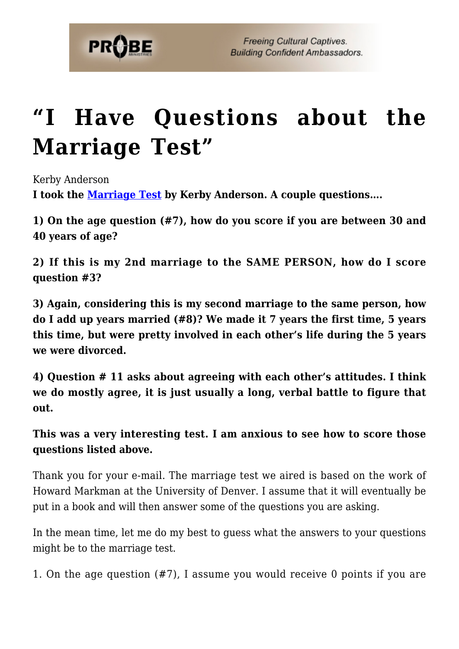

## **["I Have Questions about the](https://probe.org/i-have-questions-about-the-marriage-test/) [Marriage Test"](https://probe.org/i-have-questions-about-the-marriage-test/)**

Kerby Anderson **I took the [Marriage Test](https://www.probe.org/marriage-test/) by Kerby Anderson. A couple questions….**

**1) On the age question (#7), how do you score if you are between 30 and 40 years of age?**

**2) If this is my 2nd marriage to the SAME PERSON, how do I score question #3?**

**3) Again, considering this is my second marriage to the same person, how do I add up years married (#8)? We made it 7 years the first time, 5 years this time, but were pretty involved in each other's life during the 5 years we were divorced.**

**4) Question # 11 asks about agreeing with each other's attitudes. I think we do mostly agree, it is just usually a long, verbal battle to figure that out.**

**This was a very interesting test. I am anxious to see how to score those questions listed above.**

Thank you for your e-mail. The marriage test we aired is based on the work of Howard Markman at the University of Denver. I assume that it will eventually be put in a book and will then answer some of the questions you are asking.

In the mean time, let me do my best to guess what the answers to your questions might be to the marriage test.

1. On the age question (#7), I assume you would receive 0 points if you are